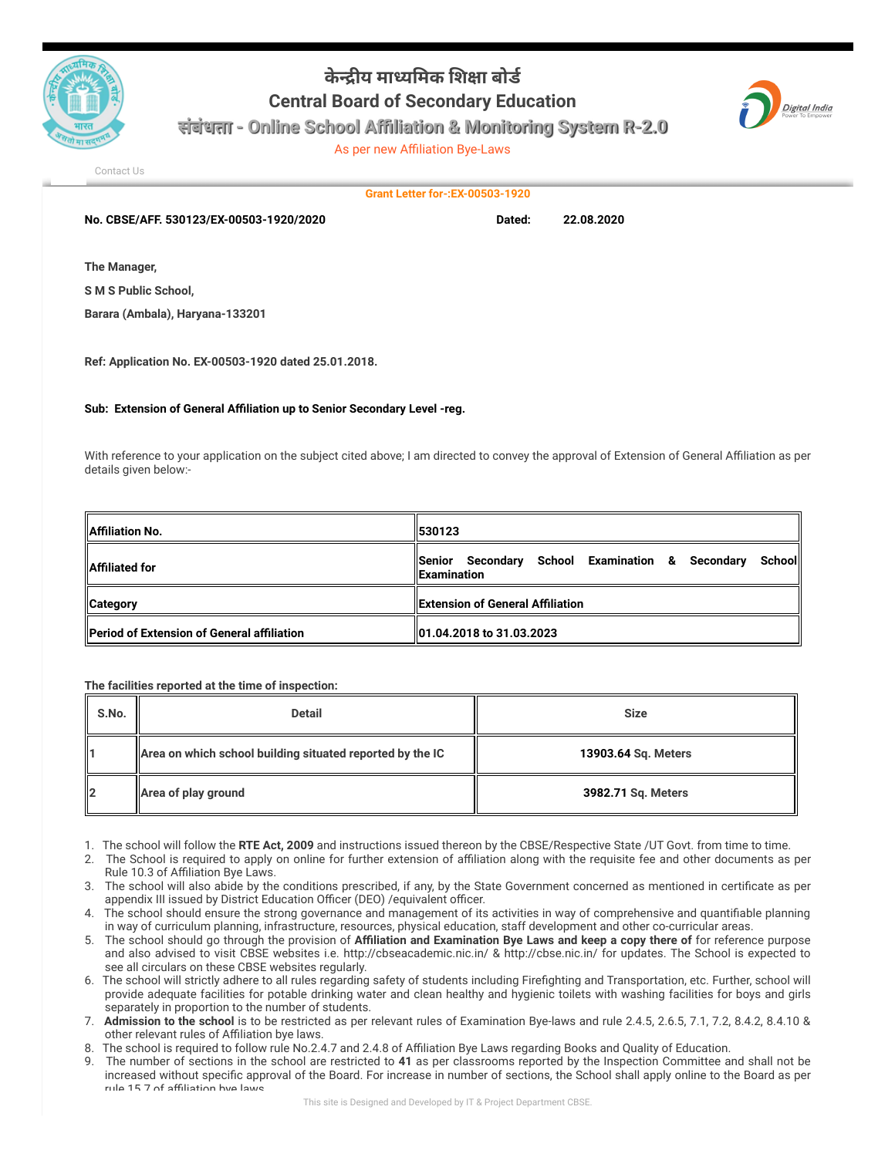

## **केय मायमक शा बोड Central Board of Secondary Education**



**संबंधता - Online School Affiliation & Monitoring System R-2.0**

As per new Affiliation Bye-Laws

[Contact Us](http://cbseaff.nic.in/cbse_aff/help.aspx)

**Grant Letter for-:EX-00503-1920**

**No. CBSE/AFF. 530123/EX-00503-1920/2020 Dated: 22.08.2020**

**The Manager,**

**S M S Public School,**

**Barara (Ambala), Haryana-133201**

**Ref: Application No. EX-00503-1920 dated 25.01.2018.**

**Sub: Extension of General Affiliation up to Senior Secondary Level -reg.**

With reference to your application on the subject cited above; I am directed to convey the approval of Extension of General Affiliation as per details given below:-

| <b>Affiliation No.</b>                             | 1530123                                                                           |  |
|----------------------------------------------------|-----------------------------------------------------------------------------------|--|
| <b>IAffiliated for</b>                             | Senior Secondary School Examination & Secondary<br>Schooll<br><b>IExamination</b> |  |
| <b>Category</b>                                    | <b>Extension of General Affiliation</b>                                           |  |
| <b>IPeriod of Extension of General affiliation</b> | 01.04.2018 to 31.03.2023                                                          |  |

**The facilities reported at the time of inspection:**

| S.No. | <b>Detail</b>                                             | <b>Size</b>         |
|-------|-----------------------------------------------------------|---------------------|
|       | Area on which school building situated reported by the IC | 13903.64 Sq. Meters |
| 12    | Area of play ground                                       | 3982.71 Sq. Meters  |

1. The school will follow the **RTE Act, 2009** and instructions issued thereon by the CBSE/Respective State /UT Govt. from time to time.

- 2. The School is required to apply on online for further extension of affiliation along with the requisite fee and other documents as per Rule 10.3 of Affiliation Bye Laws.
- 3. The school will also abide by the conditions prescribed, if any, by the State Government concerned as mentioned in certificate as per appendix III issued by District Education Officer (DEO) /equivalent officer.
- 4. The school should ensure the strong governance and management of its activities in way of comprehensive and quantifiable planning in way of curriculum planning, infrastructure, resources, physical education, staff development and other co-curricular areas.
- 5. The school should go through the provision of **Affiliation and Examination Bye Laws and keep a copy there of** for reference purpose and also advised to visit CBSE websites i.e. http://cbseacademic.nic.in/ & http://cbse.nic.in/ for updates. The School is expected to see all circulars on these CBSE websites regularly.
- 6. The school will strictly adhere to all rules regarding safety of students including Firefighting and Transportation, etc. Further, school will provide adequate facilities for potable drinking water and clean healthy and hygienic toilets with washing facilities for boys and girls separately in proportion to the number of students.
- 7. **Admission to the school** is to be restricted as per relevant rules of Examination Bye-laws and rule 2.4.5, 2.6.5, 7.1, 7.2, 8.4.2, 8.4.10 & other relevant rules of Affiliation bye laws.
- 8. The school is required to follow rule No.2.4.7 and 2.4.8 of Affiliation Bye Laws regarding Books and Quality of Education.
- 9. The number of sections in the school are restricted to **41** as per classrooms reported by the Inspection Committee and shall not be increased without specific approval of the Board. For increase in number of sections, the School shall apply online to the Board as per rule 15.7 of affiliation bye laws.